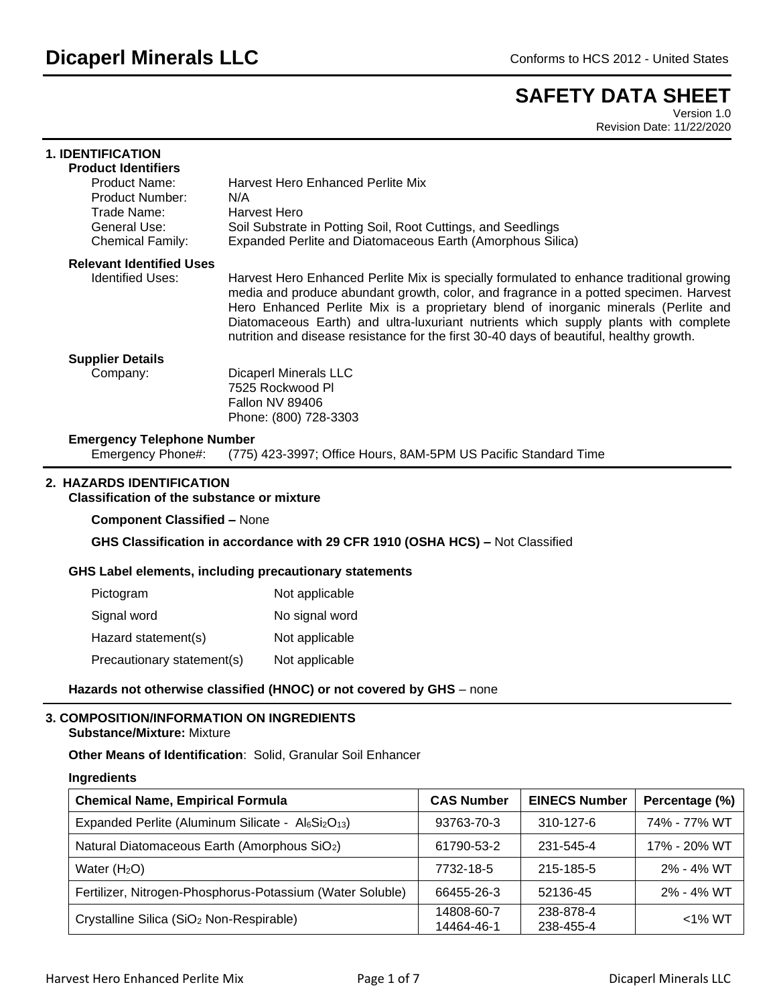# **SAFETY DATA SHEET**

Version 1.0 Revision Date: 11/22/2020

| <b>1. IDENTIFICATION</b><br><b>Product Identifiers</b>                                            |                                                                                                                                                                                                                                                                                                                                                                                                                                                            |
|---------------------------------------------------------------------------------------------------|------------------------------------------------------------------------------------------------------------------------------------------------------------------------------------------------------------------------------------------------------------------------------------------------------------------------------------------------------------------------------------------------------------------------------------------------------------|
| Product Name:<br><b>Product Number:</b><br>Trade Name:<br>General Use:<br><b>Chemical Family:</b> | <b>Harvest Hero Enhanced Perlite Mix</b><br>N/A<br>Harvest Hero<br>Soil Substrate in Potting Soil, Root Cuttings, and Seedlings<br>Expanded Perlite and Diatomaceous Earth (Amorphous Silica)                                                                                                                                                                                                                                                              |
| <b>Relevant Identified Uses</b><br><b>Identified Uses:</b>                                        | Harvest Hero Enhanced Perlite Mix is specially formulated to enhance traditional growing<br>media and produce abundant growth, color, and fragrance in a potted specimen. Harvest<br>Hero Enhanced Perlite Mix is a proprietary blend of inorganic minerals (Perlite and<br>Diatomaceous Earth) and ultra-luxuriant nutrients which supply plants with complete<br>nutrition and disease resistance for the first 30-40 days of beautiful, healthy growth. |
| <b>Supplier Details</b><br>Company:                                                               | <b>Dicaperl Minerals LLC</b><br>7525 Rockwood Pl<br><b>Fallon NV 89406</b><br>Phone: (800) 728-3303                                                                                                                                                                                                                                                                                                                                                        |
| <b>Emergency Telephone Number</b><br>Emergency Phone#:                                            | (775) 423-3997; Office Hours, 8AM-5PM US Pacific Standard Time                                                                                                                                                                                                                                                                                                                                                                                             |
| 2. HAZARDS IDENTIFICATION<br><b>Classification of the substance or mixture</b>                    |                                                                                                                                                                                                                                                                                                                                                                                                                                                            |
| <b>Component Classified - None</b>                                                                |                                                                                                                                                                                                                                                                                                                                                                                                                                                            |
|                                                                                                   | GHS Classification in accordance with 29 CFR 1910 (OSHA HCS) - Not Classified                                                                                                                                                                                                                                                                                                                                                                              |
|                                                                                                   | GHS Label elements, including precautionary statements                                                                                                                                                                                                                                                                                                                                                                                                     |
| Pictogram                                                                                         | Not applicable                                                                                                                                                                                                                                                                                                                                                                                                                                             |
| Signal word                                                                                       | No signal word                                                                                                                                                                                                                                                                                                                                                                                                                                             |

Hazard statement(s) Not applicable Precautionary statement(s) Not applicable

## Hazards not otherwise classified (HNOC) or not covered by GHS - none

## **3. COMPOSITION/INFORMATION ON INGREDIENTS**

## **Substance/Mixture:** Mixture

## **Other Means of Identification**: Solid, Granular Soil Enhancer

#### **Ingredients**

| <b>Chemical Name, Empirical Formula</b>                                    | <b>CAS Number</b>        | <b>EINECS Number</b>   | Percentage (%) |
|----------------------------------------------------------------------------|--------------------------|------------------------|----------------|
| Expanded Perlite (Aluminum Silicate - AlGSi <sub>2</sub> O <sub>13</sub> ) | 93763-70-3               | $310 - 127 - 6$        | 74% - 77% WT   |
| Natural Diatomaceous Earth (Amorphous SiO <sub>2</sub> )                   | 61790-53-2               | 231-545-4              | 17% - 20% WT   |
| Water $(H2O)$                                                              | 7732-18-5                | 215-185-5              | 2% - 4% WT     |
| Fertilizer, Nitrogen-Phosphorus-Potassium (Water Soluble)                  | 66455-26-3               | 52136-45               | 2% - 4% WT     |
| Crystalline Silica (SiO <sub>2</sub> Non-Respirable)                       | 14808-60-7<br>14464-46-1 | 238-878-4<br>238-455-4 | $<$ 1% WT      |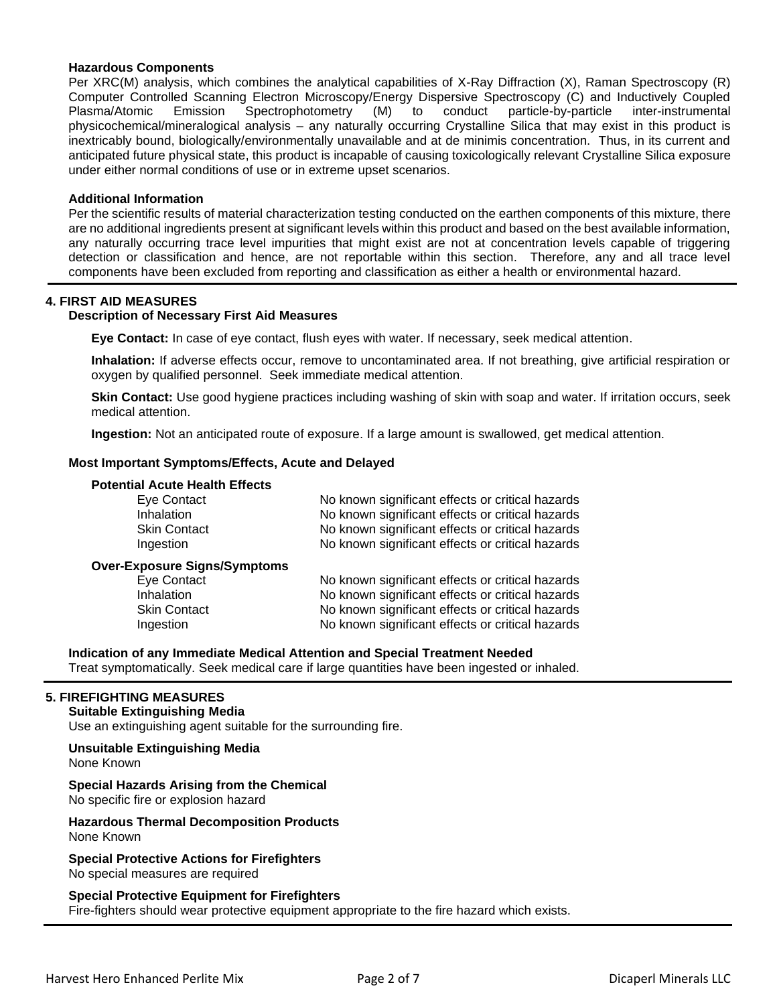### **Hazardous Components**

Per XRC(M) analysis, which combines the analytical capabilities of X-Ray Diffraction (X), Raman Spectroscopy (R) Computer Controlled Scanning Electron Microscopy/Energy Dispersive Spectroscopy (C) and Inductively Coupled Plasma/Atomic Emission Spectrophotometry (M) to conduct particle-by-particle inter-instrumental physicochemical/mineralogical analysis – any naturally occurring Crystalline Silica that may exist in this product is inextricably bound, biologically/environmentally unavailable and at de minimis concentration. Thus, in its current and anticipated future physical state, this product is incapable of causing toxicologically relevant Crystalline Silica exposure under either normal conditions of use or in extreme upset scenarios.

#### **Additional Information**

Per the scientific results of material characterization testing conducted on the earthen components of this mixture, there are no additional ingredients present at significant levels within this product and based on the best available information, any naturally occurring trace level impurities that might exist are not at concentration levels capable of triggering detection or classification and hence, are not reportable within this section. Therefore, any and all trace level components have been excluded from reporting and classification as either a health or environmental hazard.

#### **4. FIRST AID MEASURES**

#### **Description of Necessary First Aid Measures**

**Eye Contact:** In case of eye contact, flush eyes with water. If necessary, seek medical attention.

**Inhalation:** If adverse effects occur, remove to uncontaminated area. If not breathing, give artificial respiration or oxygen by qualified personnel. Seek immediate medical attention.

**Skin Contact:** Use good hygiene practices including washing of skin with soap and water. If irritation occurs, seek medical attention.

**Ingestion:** Not an anticipated route of exposure. If a large amount is swallowed, get medical attention.

#### **Most Important Symptoms/Effects, Acute and Delayed**

#### **Potential Acute Health Effects**

| Eye Contact                                                                                                 | No known significant effects or critical hazards                                                                                                                                                             |
|-------------------------------------------------------------------------------------------------------------|--------------------------------------------------------------------------------------------------------------------------------------------------------------------------------------------------------------|
| Inhalation                                                                                                  | No known significant effects or critical hazards                                                                                                                                                             |
| <b>Skin Contact</b>                                                                                         | No known significant effects or critical hazards                                                                                                                                                             |
| Ingestion                                                                                                   | No known significant effects or critical hazards                                                                                                                                                             |
| <b>Over-Exposure Signs/Symptoms</b><br><b>Eye Contact</b><br>Inhalation<br><b>Skin Contact</b><br>Ingestion | No known significant effects or critical hazards<br>No known significant effects or critical hazards<br>No known significant effects or critical hazards<br>No known significant effects or critical hazards |

**Indication of any Immediate Medical Attention and Special Treatment Needed**

Treat symptomatically. Seek medical care if large quantities have been ingested or inhaled.

## **5. FIREFIGHTING MEASURES**

## **Suitable Extinguishing Media**

Use an extinguishing agent suitable for the surrounding fire.

#### **Unsuitable Extinguishing Media**

None Known

## **Special Hazards Arising from the Chemical**

No specific fire or explosion hazard

#### **Hazardous Thermal Decomposition Products** None Known

**Special Protective Actions for Firefighters** No special measures are required

#### **Special Protective Equipment for Firefighters**

Fire-fighters should wear protective equipment appropriate to the fire hazard which exists.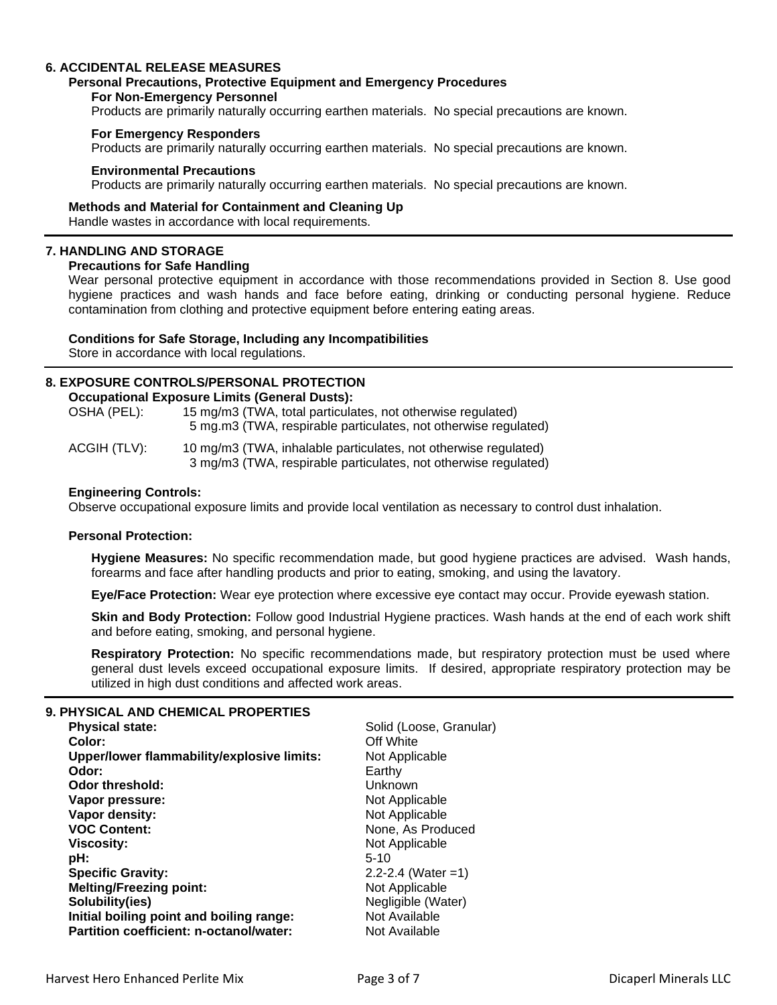## **6. ACCIDENTAL RELEASE MEASURES**

#### **Personal Precautions, Protective Equipment and Emergency Procedures**

#### **For Non-Emergency Personnel**

Products are primarily naturally occurring earthen materials. No special precautions are known.

#### **For Emergency Responders**

Products are primarily naturally occurring earthen materials. No special precautions are known.

#### **Environmental Precautions**

Products are primarily naturally occurring earthen materials. No special precautions are known.

#### **Methods and Material for Containment and Cleaning Up** Handle wastes in accordance with local requirements.

## **7. HANDLING AND STORAGE**

#### **Precautions for Safe Handling**

Wear personal protective equipment in accordance with those recommendations provided in Section 8. Use good hygiene practices and wash hands and face before eating, drinking or conducting personal hygiene. Reduce contamination from clothing and protective equipment before entering eating areas.

## **Conditions for Safe Storage, Including any Incompatibilities**

Store in accordance with local regulations.

## **8. EXPOSURE CONTROLS/PERSONAL PROTECTION**

**Occupational Exposure Limits (General Dusts):**

| OSHA (PEL): | 15 mg/m3 (TWA, total particulates, not otherwise regulated)     |
|-------------|-----------------------------------------------------------------|
|             | 5 mg.m3 (TWA, respirable particulates, not otherwise regulated) |

| ACGIH (TLV): | 10 mg/m3 (TWA, inhalable particulates, not otherwise regulated) |
|--------------|-----------------------------------------------------------------|
|              | 3 mg/m3 (TWA, respirable particulates, not otherwise regulated) |

#### **Engineering Controls:**

Observe occupational exposure limits and provide local ventilation as necessary to control dust inhalation.

#### **Personal Protection:**

**Hygiene Measures:** No specific recommendation made, but good hygiene practices are advised. Wash hands, forearms and face after handling products and prior to eating, smoking, and using the lavatory.

**Eye/Face Protection:** Wear eye protection where excessive eye contact may occur. Provide eyewash station.

**Skin and Body Protection:** Follow good Industrial Hygiene practices. Wash hands at the end of each work shift and before eating, smoking, and personal hygiene.

**Respiratory Protection:** No specific recommendations made, but respiratory protection must be used where general dust levels exceed occupational exposure limits. If desired, appropriate respiratory protection may be utilized in high dust conditions and affected work areas.

## **9. PHYSICAL AND CHEMICAL PROPERTIES**

| <b>Physical state:</b>                     | Solid (Loose, Granular) |
|--------------------------------------------|-------------------------|
| Color:                                     | Off White               |
| Upper/lower flammability/explosive limits: | Not Applicable          |
| Odor:                                      | Earthy                  |
| Odor threshold:                            | Unknown                 |
| Vapor pressure:                            | Not Applicable          |
| Vapor density:                             | Not Applicable          |
| <b>VOC Content:</b>                        | None, As Produced       |
| <b>Viscosity:</b>                          | Not Applicable          |
| pH:                                        | $5 - 10$                |
| <b>Specific Gravity:</b>                   | $2.2 - 2.4$ (Water = 1) |
| <b>Melting/Freezing point:</b>             | Not Applicable          |
| Solubility(ies)                            | Negligible (Water)      |
| Initial boiling point and boiling range:   | Not Available           |
| Partition coefficient: n-octanol/water:    | Not Available           |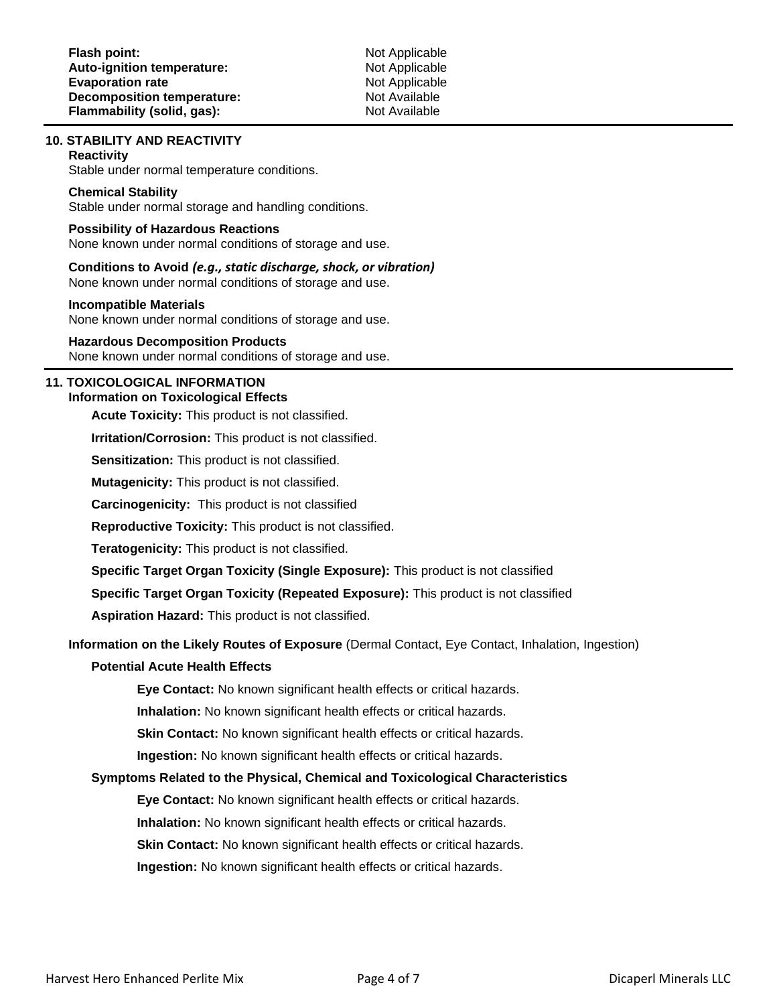## **10. STABILITY AND REACTIVITY**

#### **Reactivity**

Stable under normal temperature conditions.

#### **Chemical Stability**

Stable under normal storage and handling conditions.

## **Possibility of Hazardous Reactions**

None known under normal conditions of storage and use.

## **Conditions to Avoid** *(e.g., static discharge, shock, or vibration)*

None known under normal conditions of storage and use.

#### **Incompatible Materials**

None known under normal conditions of storage and use.

#### **Hazardous Decomposition Products**

None known under normal conditions of storage and use.

#### **11. TOXICOLOGICAL INFORMATION Information on Toxicological Effects**

**Acute Toxicity:** This product is not classified.

**Irritation/Corrosion:** This product is not classified.

**Sensitization:** This product is not classified.

**Mutagenicity:** This product is not classified.

**Carcinogenicity:** This product is not classified

**Reproductive Toxicity:** This product is not classified.

**Teratogenicity:** This product is not classified.

**Specific Target Organ Toxicity (Single Exposure):** This product is not classified

**Specific Target Organ Toxicity (Repeated Exposure):** This product is not classified

**Aspiration Hazard:** This product is not classified.

### **Information on the Likely Routes of Exposure** (Dermal Contact, Eye Contact, Inhalation, Ingestion)

## **Potential Acute Health Effects**

**Eye Contact:** No known significant health effects or critical hazards.

**Inhalation:** No known significant health effects or critical hazards.

**Skin Contact:** No known significant health effects or critical hazards.

**Ingestion:** No known significant health effects or critical hazards.

## **Symptoms Related to the Physical, Chemical and Toxicological Characteristics**

**Eye Contact:** No known significant health effects or critical hazards.

**Inhalation:** No known significant health effects or critical hazards.

**Skin Contact:** No known significant health effects or critical hazards.

**Ingestion:** No known significant health effects or critical hazards.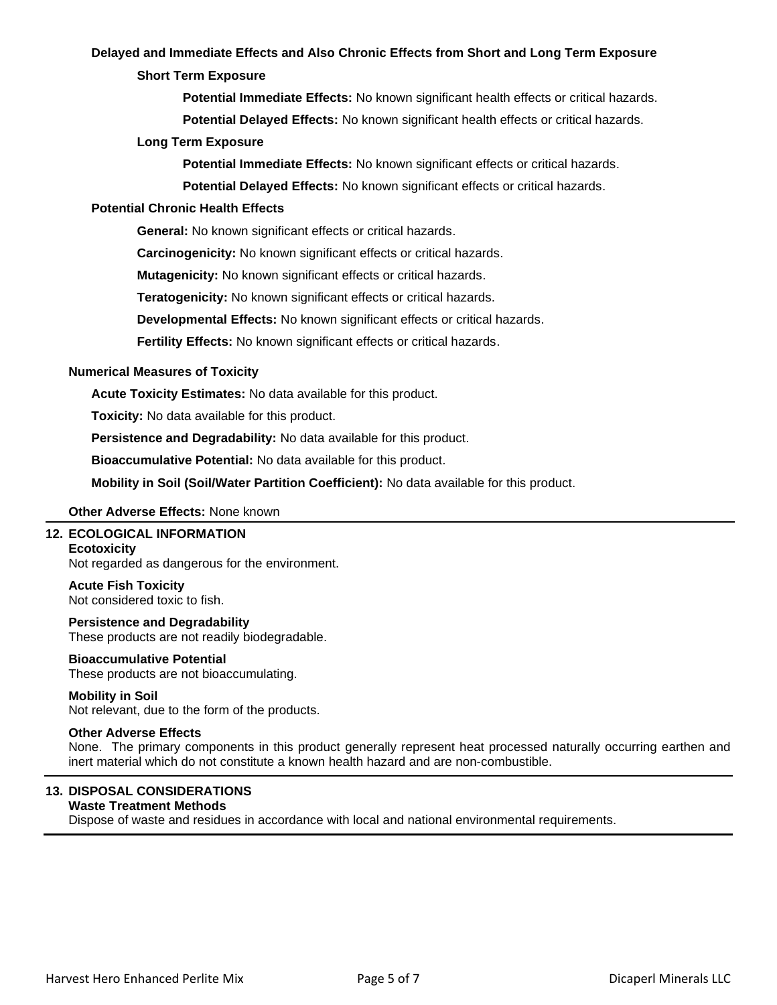## **Delayed and Immediate Effects and Also Chronic Effects from Short and Long Term Exposure**

## **Short Term Exposure**

**Potential Immediate Effects:** No known significant health effects or critical hazards.

**Potential Delayed Effects:** No known significant health effects or critical hazards.

## **Long Term Exposure**

**Potential Immediate Effects:** No known significant effects or critical hazards.

**Potential Delayed Effects:** No known significant effects or critical hazards.

## **Potential Chronic Health Effects**

**General:** No known significant effects or critical hazards.

**Carcinogenicity:** No known significant effects or critical hazards.

**Mutagenicity:** No known significant effects or critical hazards.

**Teratogenicity:** No known significant effects or critical hazards.

**Developmental Effects:** No known significant effects or critical hazards.

**Fertility Effects:** No known significant effects or critical hazards.

## **Numerical Measures of Toxicity**

**Acute Toxicity Estimates:** No data available for this product.

**Toxicity:** No data available for this product.

**Persistence and Degradability:** No data available for this product.

**Bioaccumulative Potential:** No data available for this product.

**Mobility in Soil (Soil/Water Partition Coefficient):** No data available for this product.

## **Other Adverse Effects:** None known

## **12. ECOLOGICAL INFORMATION**

#### **Ecotoxicity**

Not regarded as dangerous for the environment.

## **Acute Fish Toxicity**

Not considered toxic to fish.

## **Persistence and Degradability**

These products are not readily biodegradable.

## **Bioaccumulative Potential**

These products are not bioaccumulating.

#### **Mobility in Soil**

Not relevant, due to the form of the products.

## **Other Adverse Effects**

None. The primary components in this product generally represent heat processed naturally occurring earthen and inert material which do not constitute a known health hazard and are non-combustible.

## **13. DISPOSAL CONSIDERATIONS**

## **Waste Treatment Methods**

Dispose of waste and residues in accordance with local and national environmental requirements.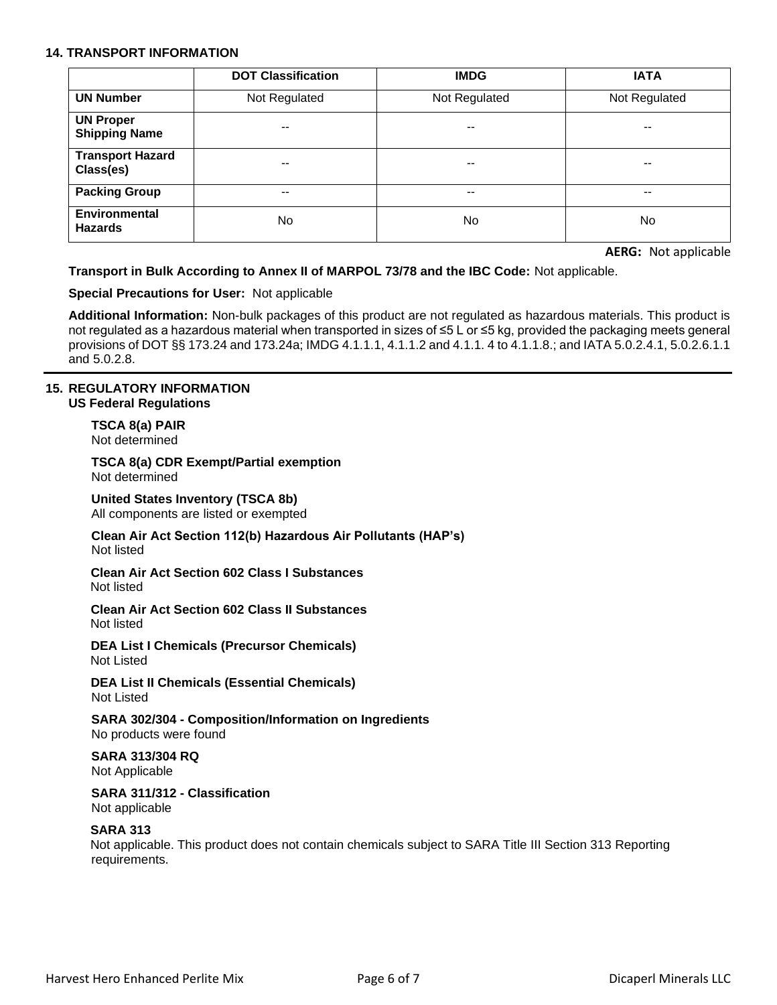## **14. TRANSPORT INFORMATION**

|                                          | <b>DOT Classification</b> | <b>IMDG</b>   | <b>IATA</b>   |
|------------------------------------------|---------------------------|---------------|---------------|
| <b>UN Number</b>                         | Not Regulated             | Not Regulated | Not Regulated |
| <b>UN Proper</b><br><b>Shipping Name</b> | $\overline{\phantom{m}}$  | $- -$         | $- -$         |
| <b>Transport Hazard</b><br>Class(es)     | $- -$                     | --            | --            |
| <b>Packing Group</b>                     | $\overline{\phantom{m}}$  | --            | --            |
| <b>Environmental</b><br><b>Hazards</b>   | No                        | No.           | No.           |

**AERG:** Not applicable

## **Transport in Bulk According to Annex II of MARPOL 73/78 and the IBC Code:** Not applicable.

## **Special Precautions for User:** Not applicable

**Additional Information:** Non-bulk packages of this product are not regulated as hazardous materials. This product is not regulated as a hazardous material when transported in sizes of ≤5 L or ≤5 kg, provided the packaging meets general provisions of DOT §§ 173.24 and 173.24a; IMDG 4.1.1.1, 4.1.1.2 and 4.1.1. 4 to 4.1.1.8.; and IATA 5.0.2.4.1, 5.0.2.6.1.1 and 5.0.2.8.

### **15. REGULATORY INFORMATION US Federal Regulations**

**TSCA 8(a) PAIR** Not determined

**TSCA 8(a) CDR Exempt/Partial exemption** Not determined

**United States Inventory (TSCA 8b)** All components are listed or exempted

**Clean Air Act Section 112(b) Hazardous Air Pollutants (HAP's)** Not listed

**Clean Air Act Section 602 Class I Substances** Not listed

**Clean Air Act Section 602 Class II Substances** Not listed

**DEA List I Chemicals (Precursor Chemicals)** Not Listed

**DEA List II Chemicals (Essential Chemicals)** Not Listed

**SARA 302/304 - Composition/Information on Ingredients** No products were found

**SARA 313/304 RQ** Not Applicable

**SARA 311/312 - Classification** Not applicable

## **SARA 313**

Not applicable. This product does not contain chemicals subject to SARA Title III Section 313 Reporting requirements.